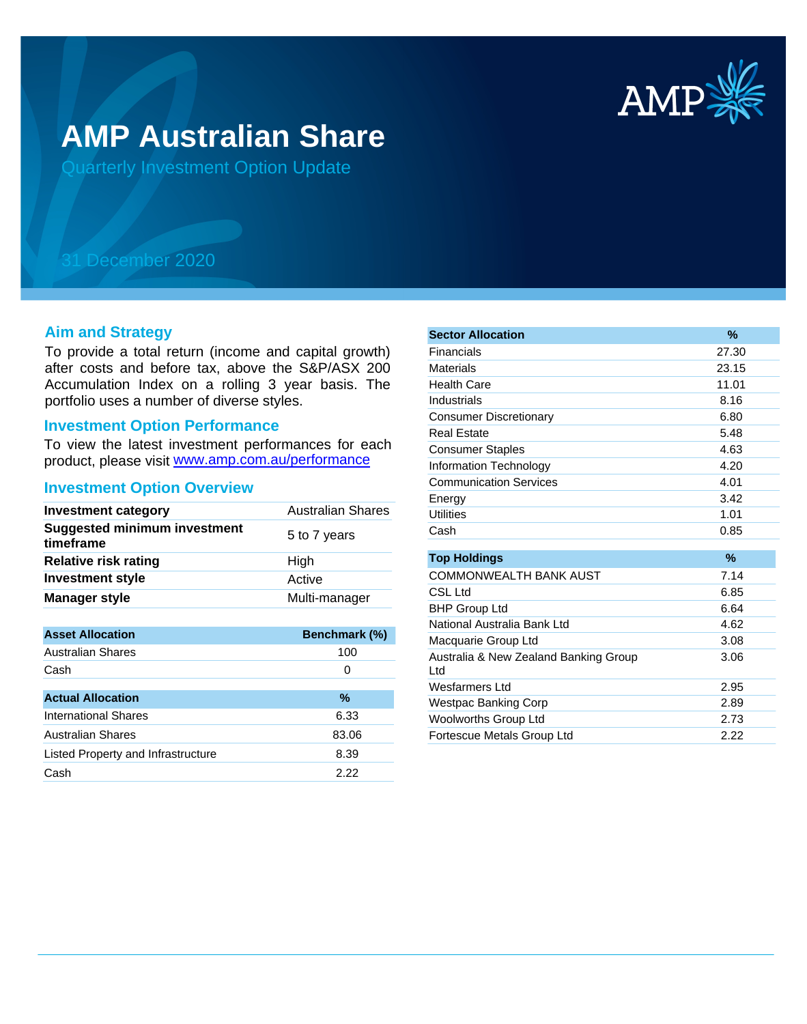

# **AMP Australian Share**

Quarterly Investment Option Update

## 31 December 2020

#### **Aim and Strategy**

To provide a total return (income and capital growth) after costs and before tax, above the S&P/ASX 200 Accumulation Index on a rolling 3 year basis. The portfolio uses a number of diverse styles.

#### **Investment Option Performance**

product, please visit www.amp.com.au/performance To view the latest investment performances for each

#### **Investment Option Overview**

| <b>Australian Shares</b> |
|--------------------------|
| 5 to 7 years             |
| High                     |
| Active                   |
| Multi-manager            |
|                          |

| <b>Asset Allocation</b>            | Benchmark (%) |
|------------------------------------|---------------|
| <b>Australian Shares</b>           | 100           |
| Cash                               | 0             |
|                                    |               |
| <b>Actual Allocation</b>           | %             |
| International Shares               | 6.33          |
| <b>Australian Shares</b>           | 83.06         |
| Listed Property and Infrastructure | 8.39          |
| Cash                               | 2.22          |

| <b>Sector Allocation</b>                     | %     |
|----------------------------------------------|-------|
| Financials                                   | 27.30 |
| <b>Materials</b>                             | 23.15 |
| <b>Health Care</b>                           | 11.01 |
| Industrials                                  | 8.16  |
| <b>Consumer Discretionary</b>                | 6.80  |
| <b>Real Estate</b>                           | 5.48  |
| <b>Consumer Staples</b>                      | 4.63  |
| Information Technology                       | 4.20  |
| <b>Communication Services</b>                | 4.01  |
| Energy                                       | 3.42  |
| <b>Utilities</b>                             | 1.01  |
| Cash                                         | 0.85  |
| <b>Top Holdings</b>                          | $\%$  |
| COMMONWEALTH BANK AUST                       | 7.14  |
|                                              |       |
| CSL Ltd                                      | 6.85  |
| <b>BHP Group Ltd</b>                         | 6.64  |
| National Australia Bank Ltd                  | 4.62  |
| Macquarie Group Ltd                          | 3.08  |
| Australia & New Zealand Banking Group<br>Ltd | 3.06  |
| Wesfarmers Ltd                               | 2.95  |
| <b>Westpac Banking Corp</b>                  | 2.89  |
| Woolworths Group Ltd                         | 2.73  |
| Fortescue Metals Group Ltd                   | 2.22  |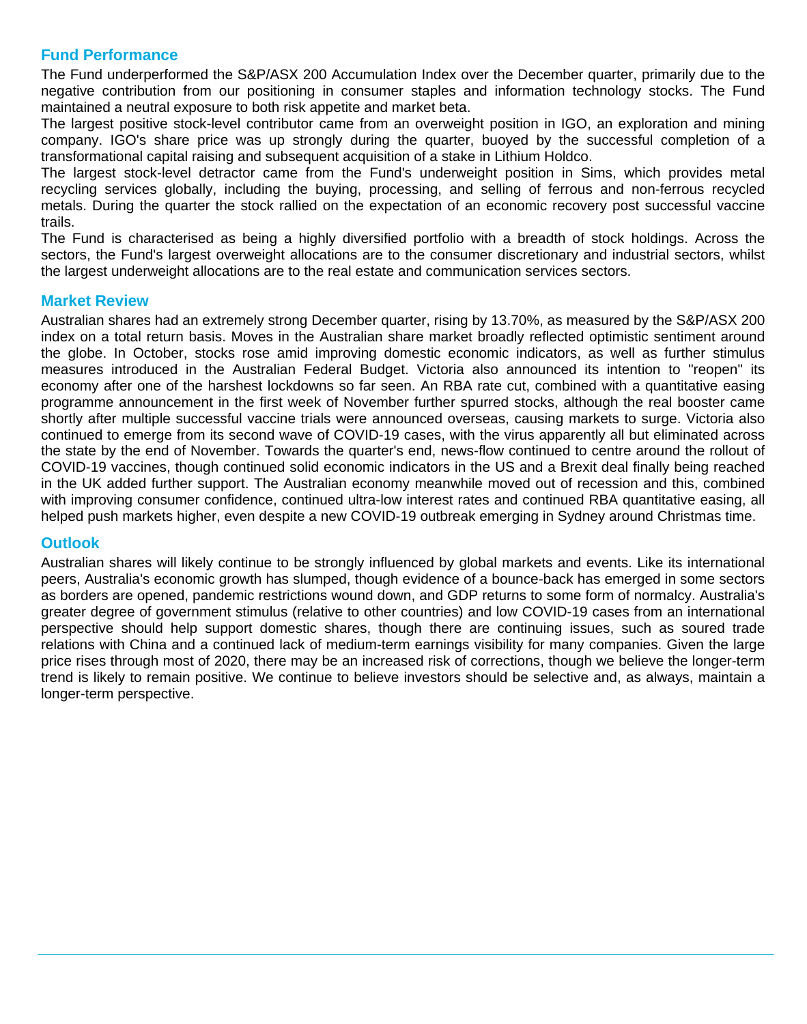### **Fund Performance**

The Fund underperformed the S&P/ASX 200 Accumulation Index over the December quarter, primarily due to the negative contribution from our positioning in consumer staples and information technology stocks. The Fund maintained a neutral exposure to both risk appetite and market beta.

The largest positive stock-level contributor came from an overweight position in IGO, an exploration and mining company. IGO's share price was up strongly during the quarter, buoyed by the successful completion of a transformational capital raising and subsequent acquisition of a stake in Lithium Holdco.

The largest stock-level detractor came from the Fund's underweight position in Sims, which provides metal recycling services globally, including the buying, processing, and selling of ferrous and non-ferrous recycled metals. During the quarter the stock rallied on the expectation of an economic recovery post successful vaccine trails.

The Fund is characterised as being a highly diversified portfolio with a breadth of stock holdings. Across the sectors, the Fund's largest overweight allocations are to the consumer discretionary and industrial sectors, whilst the largest underweight allocations are to the real estate and communication services sectors.

#### **Market Review**

Australian shares had an extremely strong December quarter, rising by 13.70%, as measured by the S&P/ASX 200 index on a total return basis. Moves in the Australian share market broadly reflected optimistic sentiment around the globe. In October, stocks rose amid improving domestic economic indicators, as well as further stimulus measures introduced in the Australian Federal Budget. Victoria also announced its intention to "reopen" its economy after one of the harshest lockdowns so far seen. An RBA rate cut, combined with a quantitative easing programme announcement in the first week of November further spurred stocks, although the real booster came shortly after multiple successful vaccine trials were announced overseas, causing markets to surge. Victoria also continued to emerge from its second wave of COVID-19 cases, with the virus apparently all but eliminated across the state by the end of November. Towards the quarter's end, news-flow continued to centre around the rollout of COVID-19 vaccines, though continued solid economic indicators in the US and a Brexit deal finally being reached in the UK added further support. The Australian economy meanwhile moved out of recession and this, combined with improving consumer confidence, continued ultra-low interest rates and continued RBA quantitative easing, all helped push markets higher, even despite a new COVID-19 outbreak emerging in Sydney around Christmas time.

#### **Outlook**

Australian shares will likely continue to be strongly influenced by global markets and events. Like its international peers, Australia's economic growth has slumped, though evidence of a bounce-back has emerged in some sectors as borders are opened, pandemic restrictions wound down, and GDP returns to some form of normalcy. Australia's greater degree of government stimulus (relative to other countries) and low COVID-19 cases from an international perspective should help support domestic shares, though there are continuing issues, such as soured trade relations with China and a continued lack of medium-term earnings visibility for many companies. Given the large price rises through most of 2020, there may be an increased risk of corrections, though we believe the longer-term trend is likely to remain positive. We continue to believe investors should be selective and, as always, maintain a longer-term perspective.